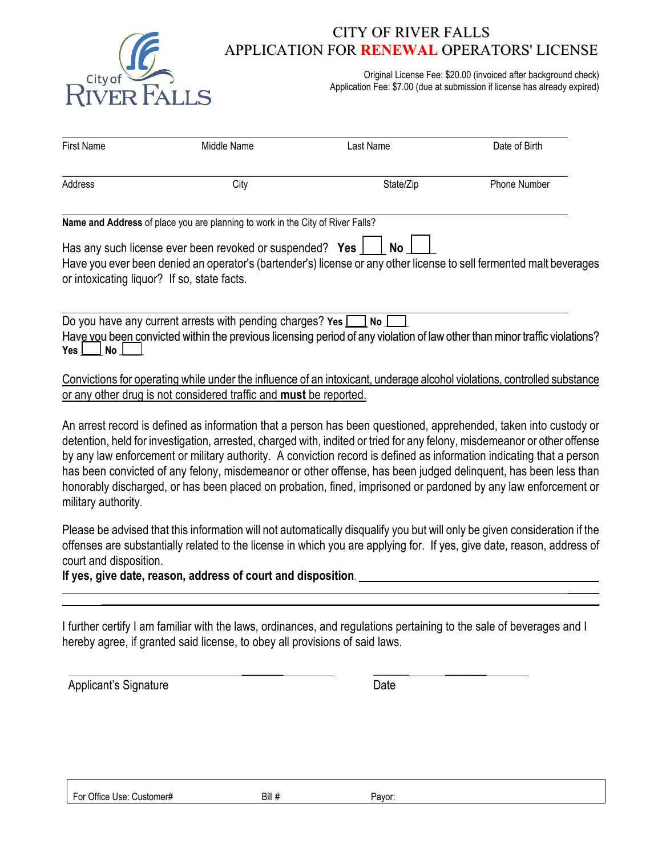

## CITY OF RIVER FALLS APPLICATION FOR **RENEWAL** OPERATORS' LICENSE

Original License Fee: \$20.00 (invoiced after background check) Application Fee: \$7.00 (due at submission if license has already expired)

| <b>First Name</b>        | Middle Name                                                                                               | Last Name                                                                                                                                                                                                                                                                                                                                                                                                                                                                                                                                                                                                | Date of Birth       |
|--------------------------|-----------------------------------------------------------------------------------------------------------|----------------------------------------------------------------------------------------------------------------------------------------------------------------------------------------------------------------------------------------------------------------------------------------------------------------------------------------------------------------------------------------------------------------------------------------------------------------------------------------------------------------------------------------------------------------------------------------------------------|---------------------|
| Address                  | City                                                                                                      | State/Zip                                                                                                                                                                                                                                                                                                                                                                                                                                                                                                                                                                                                | <b>Phone Number</b> |
|                          | Name and Address of place you are planning to work in the City of River Falls?                            |                                                                                                                                                                                                                                                                                                                                                                                                                                                                                                                                                                                                          |                     |
|                          | Has any such license ever been revoked or suspended? Yes  <br>or intoxicating liquor? If so, state facts. | No<br>Have you ever been denied an operator's (bartender's) license or any other license to sell fermented malt beverages                                                                                                                                                                                                                                                                                                                                                                                                                                                                                |                     |
| No <sub>1</sub><br>Yes L | Do you have any current arrests with pending charges? Yes $\Box$                                          | No<br>Have you been convicted within the previous licensing period of any violation of law other than minor traffic violations?                                                                                                                                                                                                                                                                                                                                                                                                                                                                          |                     |
|                          | or any other drug is not considered traffic and <b>must</b> be reported.                                  | Convictions for operating while under the influence of an intoxicant, underage alcohol violations, controlled substance                                                                                                                                                                                                                                                                                                                                                                                                                                                                                  |                     |
| military authority.      |                                                                                                           | An arrest record is defined as information that a person has been questioned, apprehended, taken into custody or<br>detention, held for investigation, arrested, charged with, indited or tried for any felony, misdemeanor or other offense<br>by any law enforcement or military authority. A conviction record is defined as information indicating that a person<br>has been convicted of any felony, misdemeanor or other offense, has been judged delinquent, has been less than<br>honorably discharged, or has been placed on probation, fined, imprisoned or pardoned by any law enforcement or |                     |

Please be advised that this information will not automatically disqualify you but will only be given consideration if the offenses are substantially related to the license in which you are applying for. If yes, give date, reason, address of court and disposition.

\_\_\_\_\_\_\_\_\_\_\_\_\_\_\_\_\_\_\_\_\_\_\_\_\_\_\_\_\_\_\_\_\_\_\_\_\_\_\_\_\_\_\_\_\_\_\_\_\_\_\_\_\_\_\_\_\_\_\_\_\_\_\_\_\_\_\_\_\_\_\_\_\_\_\_\_\_\_\_\_\_\_\_\_\_\_\_\_\_\_\_\_\_\_\_\_\_\_\_\_\_\_\_\_\_\_\_

**If yes, give date, reason, address of court and disposition**.

|  | I further certify I am familiar with the laws, ordinances, and regulations pertaining to the sale of beverages and I |  |  |  |  |  |
|--|----------------------------------------------------------------------------------------------------------------------|--|--|--|--|--|
|  | hereby agree, if granted said license, to obey all provisions of said laws.                                          |  |  |  |  |  |

 $\frac{1}{2}$  , and the set of the set of the set of the set of the set of the set of the set of the set of the set of the set of the set of the set of the set of the set of the set of the set of the set of the set of the set

Applicant's Signature Date

 $\mathcal{L}_\text{max}$  and  $\mathcal{L}_\text{max}$  are the set of the set of the set of the set of the set of the set of the set of the set of the set of the set of the set of the set of the set of the set of the set of the set of the set o